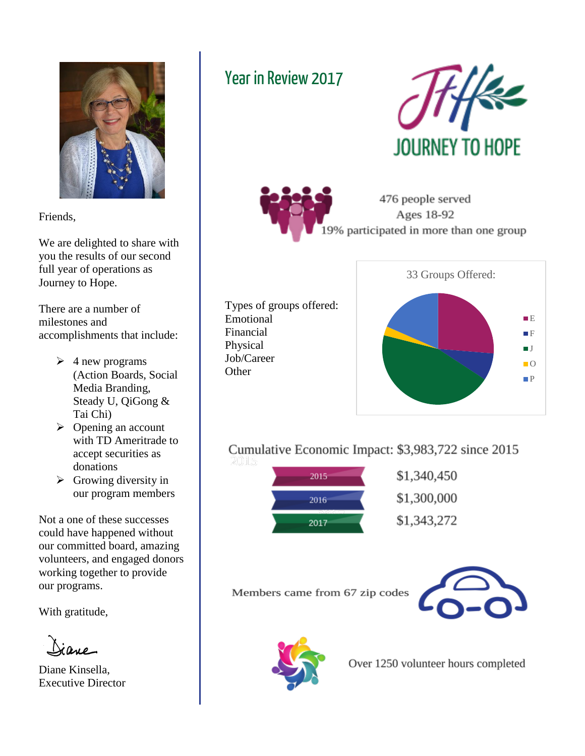

Friends,

We are delighted to share with you the results of our second full year of operations as Journey to Hope.

There are a number of milestones and accomplishments that include:

- $\geq 4$  new programs (Action Boards, Social Media Branding, Steady U, QiGong & Tai Chi)
- $\triangleright$  Opening an account with TD Ameritrade to accept securities as donations
- $\triangleright$  Growing diversity in our program members

Not a one of these successes could have happened without our committed board, amazing volunteers, and engaged donors working together to provide our programs.

With gratitude,

Diane Kinsella, Executive Director

## Year in Review 2017

Emotional Financial Physical Job/Career Other







Cumulative Economic Impact: \$3,983,722 since 2015



Members came from 67 zip codes





Over 1250 volunteer hours completed